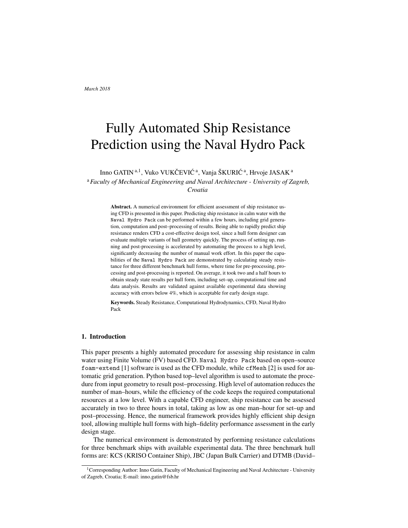# Fully Automated Ship Resistance Prediction using the Naval Hydro Pack

Inno GATIN<sup>a,1</sup>, Vuko VUKČEVIĆ<sup>a</sup>, Vanja ŠKURIĆ<sup>a</sup>, Hrvoje JASAK<sup>a</sup> <sup>a</sup>*Faculty of Mechanical Engineering and Naval Architecture - University of Zagreb, Croatia*

> Abstract. A numerical environment for efficient assessment of ship resistance using CFD is presented in this paper. Predicting ship resistance in calm water with the Naval Hydro Pack can be performed within a few hours, including grid generation, computation and post–processing of results. Being able to rapidly predict ship resistance renders CFD a cost-effective design tool, since a hull form designer can evaluate multiple variants of hull geometry quickly. The process of setting up, running and post-processing is accelerated by automating the process to a high level, significantly decreasing the number of manual work effort. In this paper the capabilities of the Naval Hydro Pack are demonstrated by calculating steady resistance for three different benchmark hull forms, where time for pre-processing, processing and post-processing is reported. On average, it took two and a half hours to obtain steady state results per hull form, including set–up, computational time and data analysis. Results are validated against available experimental data showing accuracy with errors below 4%, which is acceptable for early design stage.

> Keywords. Steady Resistance, Computational Hydrodynamics, CFD, Naval Hydro Pack

#### 1. Introduction

This paper presents a highly automated procedure for assessing ship resistance in calm water using Finite Volume (FV) based CFD. Naval Hydro Pack based on open–source foam-extend [1] software is used as the CFD module, while cfMesh [2] is used for automatic grid generation. Python based top–level algorithm is used to automate the procedure from input geometry to result post–processing. High level of automation reduces the number of man–hours, while the efficiency of the code keeps the required computational resources at a low level. With a capable CFD engineer, ship resistance can be assessed accurately in two to three hours in total, taking as low as one man–hour for set–up and post–processing. Hence, the numerical framework provides highly efficient ship design tool, allowing multiple hull forms with high–fidelity performance assessment in the early design stage.

The numerical environment is demonstrated by performing resistance calculations for three benchmark ships with available experimental data. The three benchmark hull forms are: KCS (KRISO Container Ship), JBC (Japan Bulk Carrier) and DTMB (David–

<sup>1</sup>Corresponding Author: Inno Gatin, Faculty of Mechanical Engineering and Naval Architecture - University of Zagreb, Croatia; E-mail: inno.gatin@fsb.hr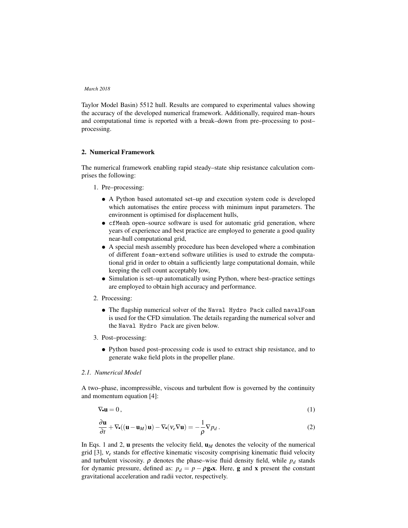Taylor Model Basin) 5512 hull. Results are compared to experimental values showing the accuracy of the developed numerical framework. Additionally, required man–hours and computational time is reported with a break–down from pre–processing to post– processing.

# 2. Numerical Framework

The numerical framework enabling rapid steady–state ship resistance calculation comprises the following:

- 1. Pre–processing:
	- A Python based automated set–up and execution system code is developed which automatises the entire process with minimum input parameters. The environment is optimised for displacement hulls,
	- cfMesh open–source software is used for automatic grid generation, where years of experience and best practice are employed to generate a good quality near-hull computational grid,
	- A special mesh assembly procedure has been developed where a combination of different foam-extend software utilities is used to extrude the computational grid in order to obtain a sufficiently large computational domain, while keeping the cell count acceptably low,
	- Simulation is set–up automatically using Python, where best–practice settings are employed to obtain high accuracy and performance.
- 2. Processing:
	- The flagship numerical solver of the Naval Hydro Pack called navalFoam is used for the CFD simulation. The details regarding the numerical solver and the Naval Hydro Pack are given below.
- 3. Post–processing:
	- Python based post–processing code is used to extract ship resistance, and to generate wake field plots in the propeller plane.

## *2.1. Numerical Model*

A two–phase, incompressible, viscous and turbulent flow is governed by the continuity and momentum equation [4]:

$$
\nabla \bullet \mathbf{u} = 0, \tag{1}
$$

$$
\frac{\partial \mathbf{u}}{\partial t} + \nabla \bullet ((\mathbf{u} - \mathbf{u}_M) \mathbf{u}) - \nabla \bullet (\nu_e \nabla \mathbf{u}) = -\frac{1}{\rho} \nabla p_d.
$$
 (2)

In Eqs. 1 and 2, **u** presents the velocity field,  $\mathbf{u}_M$  denotes the velocity of the numerical grid [3],  $v_e$  stands for effective kinematic viscosity comprising kinematic fluid velocity and turbulent viscosity.  $\rho$  denotes the phase–wise fluid density field, while  $p_d$  stands for dynamic pressure, defined as:  $p_d = p - \rho g \cdot x$ . Here, g and x present the constant gravitational acceleration and radii vector, respectively.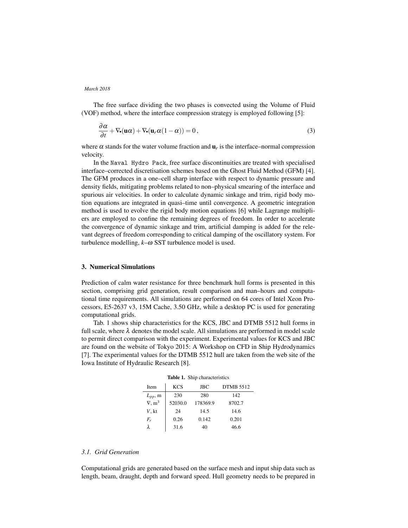The free surface dividing the two phases is convected using the Volume of Fluid (VOF) method, where the interface compression strategy is employed following [5]:

$$
\frac{\partial \alpha}{\partial t} + \nabla_{\bullet}(\mathbf{u}\alpha) + \nabla_{\bullet}(\mathbf{u}_r \alpha (1 - \alpha)) = 0, \qquad (3)
$$

where  $\alpha$  stands for the water volume fraction and  $\mathbf{u}_r$  is the interface–normal compression velocity.

In the Naval Hydro Pack, free surface discontinuities are treated with specialised interface–corrected discretisation schemes based on the Ghost Fluid Method (GFM) [4]. The GFM produces in a one–cell sharp interface with respect to dynamic pressure and density fields, mitigating problems related to non–physical smearing of the interface and spurious air velocities. In order to calculate dynamic sinkage and trim, rigid body motion equations are integrated in quasi–time until convergence. A geometric integration method is used to evolve the rigid body motion equations [6] while Lagrange multipliers are employed to confine the remaining degrees of freedom. In order to accelerate the convergence of dynamic sinkage and trim, artificial damping is added for the relevant degrees of freedom corresponding to critical damping of the oscillatory system. For turbulence modelling, *k*–ω SST turbulence model is used.

# 3. Numerical Simulations

Prediction of calm water resistance for three benchmark hull forms is presented in this section, comprising grid generation, result comparison and man–hours and computational time requirements. All simulations are performed on 64 cores of Intel Xeon Processors, E5-2637 v3, 15M Cache, 3.50 GHz, while a desktop PC is used for generating computational grids.

Tab. 1 shows ship characteristics for the KCS, JBC and DTMB 5512 hull forms in full scale, where  $\lambda$  denotes the model scale. All simulations are performed in model scale to permit direct comparison with the experiment. Experimental values for KCS and JBC are found on the website of Tokyo 2015: A Workshop on CFD in Ship Hydrodynamics [7]. The experimental values for the DTMB 5512 hull are taken from the web site of the Iowa Institute of Hydraulic Research [8].

| <b>rapic 1.</b> Simp characteristics |            |            |                  |  |  |  |
|--------------------------------------|------------|------------|------------------|--|--|--|
| Item                                 | <b>KCS</b> | <b>JBC</b> | <b>DTMB 5512</b> |  |  |  |
| $L_{pp}$ , m                         | 230        | 280        | 142              |  |  |  |
| $\nabla, m^3$                        | 52030.0    | 178369.9   | 8702.7           |  |  |  |
| V, kt                                | 24         | 14.5       | 14.6             |  |  |  |
| F,                                   | 0.26       | 0.142      | 0.201            |  |  |  |
| λ                                    | 31.6       | 40         | 46.6             |  |  |  |

Table 1. Ship characteristics

# *3.1. Grid Generation*

Computational grids are generated based on the surface mesh and input ship data such as length, beam, draught, depth and forward speed. Hull geometry needs to be prepared in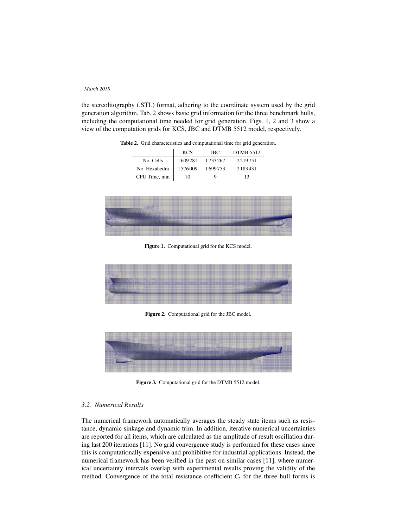the stereolitography (.STL) format, adhering to the coordinate system used by the grid generation algorithm. Tab. 2 shows basic grid information for the three benchmark hulls, including the computational time needed for grid generation. Figs. 1, 2 and 3 show a view of the computation grids for KCS, JBC and DTMB 5512 model, respectively.

|               | <b>KCS</b> | JBC.    | <b>DTMB 5512</b> |
|---------------|------------|---------|------------------|
| No. Cells     | 1609281    | 1733267 | 2219751          |
| No. Hexahedra | 1576009    | 1699753 | 2183431          |
| CPU Time, min | 10         |         | 13               |

Table 2. Grid characteristics and computational time for grid generation.



Figure 1. Computational grid for the KCS model.



Figure 2. Computational grid for the JBC model.



Figure 3. Computational grid for the DTMB 5512 model.

## *3.2. Numerical Results*

The numerical framework automatically averages the steady state items such as resistance, dynamic sinkage and dynamic trim. In addition, iterative numerical uncertainties are reported for all items, which are calculated as the amplitude of result oscillation during last 200 iterations [11]. No grid convergence study is performed for these cases since this is computationally expensive and prohibitive for industrial applications. Instead, the numerical framework has been verified in the past on similar cases [11], where numerical uncertainty intervals overlap with experimental results proving the validity of the method. Convergence of the total resistance coefficient  $C<sub>t</sub>$  for the three hull forms is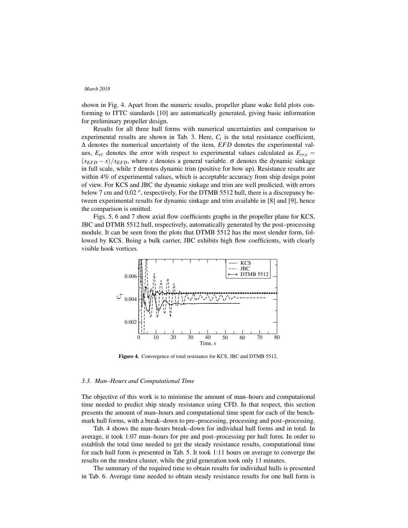shown in Fig. 4. Apart from the numeric results, propeller plane wake field plots conforming to ITTC standards [10] are automatically generated, giving basic information for preliminary propeller design.

Results for all three hull forms with numerical uncertainties and comparison to experimental results are shown in Tab. 3. Here,  $C_t$  is the total resistance coefficient, ∆ denotes the numerical uncertainty of the item, *EFD* denotes the experimental values,  $E_{rr}$  denotes the error with respect to experimental values calculated as  $E_{rr}$  =  $(x_{EFD} - x)/x_{EFD}$ , where *x* denotes a general variable.  $\sigma$  denotes the dynamic sinkage in full scale, while  $\tau$  denotes dynamic trim (positive for bow up). Resistance results are within 4% of experimental values, which is acceptable accuracy from ship design point of view. For KCS and JBC the dynamic sinkage and trim are well predicted, with errors below 7 cm and 0.02  $^o$ , respectively. For the DTMB 5512 hull, there is a discrepancy between experimental results for dynamic sinkage and trim available in [8] and [9], hence the comparison is omitted.

Figs. 5, 6 and 7 show axial flow coefficients graphs in the propeller plane for KCS, JBC and DTMB 5512 hull, respectively, automatically generated by the post–processing module. It can be seen from the plots that DTMB 5512 has the most slender form, followed by KCS. Being a bulk carrier, JBC exhibits high flow coefficients, with clearly visible hook vortices.



Figure 4. Convergence of total resistance for KCS, JBC and DTMB 5512.

#### *3.3. Man–Hours and Computational Time*

The objective of this work is to minimise the amount of man–hours and computational time needed to predict ship steady resistance using CFD. In that respect, this section presents the amount of man–hours and computational time spent for each of the benchmark hull forms, with a break–down to pre–processing, processing and post–processing.

Tab. 4 shows the man–hours break–down for individual hull forms and in total. In average, it took 1:07 man–hours for pre and post–processing per hull form. In order to establish the total time needed to get the steady resistance results, computational time for each hull form is presented in Tab. 5. It took 1:11 hours on average to converge the results on the modest cluster, while the grid generation took only 11 minutes.

The summary of the required time to obtain results for individual hulls is presented in Tab. 6. Average time needed to obtain steady resistance results for one hull form is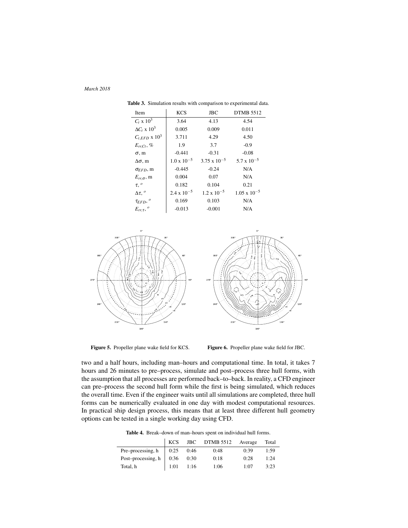| <b>Item</b>                 | <b>KCS</b>           | <b>JBC</b>            | <b>DTMB 5512</b>      |
|-----------------------------|----------------------|-----------------------|-----------------------|
| $C_t \times 10^3$           | 3.64                 | 4.13                  | 4.54                  |
| $\Delta C_t \ge 10^3$       | 0.005                | 0.009                 | 0.011                 |
| $C_{t,EFD}$ x $10^3$        | 3.711                | 4.29                  | 4.50                  |
| $E_{rr,Ct}$ , %             | 1.9                  | 3.7                   | $-0.9$                |
| $\sigma$ , m                | $-0.441$             | $-0.31$               | $-0.08$               |
| $\Delta \sigma$ , m         | $1.0 \times 10^{-5}$ | $3.75 \times 10^{-5}$ | $5.7 \times 10^{-5}$  |
| $\sigma$ <sub>EFD</sub> , m | $-0.445$             | $-0.24$               | N/A                   |
| $E_{rr,\sigma}$ , m         | 0.004                | 0.07                  | N/A                   |
| $\tau$ , $^o$               | 0.182                | 0.104                 | 0.21                  |
| $\Delta \tau$ , $^o$        | $2.4 \times 10^{-5}$ | $1.2 \times 10^{-5}$  | $1.05 \times 10^{-5}$ |
| $\tau_{EFD}$ , $^{o}$       | 0.169                | 0.103                 | N/A                   |
| $E_{rr,\tau}$ , $^o$        | $-0.013$             | $-0.001$              | N/A                   |

Table 3. Simulation results with comparison to experimental data.



Figure 5. Propeller plane wake field for KCS.

Figure 6. Propeller plane wake field for JBC.

60°

 $20^{\circ}$ 

 20.  $0^+$ 

two and a half hours, including man–hours and computational time. In total, it takes 7 hours and 26 minutes to pre–process, simulate and post–process three hull forms, with the assumption that all processes are performed back–to–back. In reality, a CFD engineer can pre–process the second hull form while the first is being simulated, which reduces the overall time. Even if the engineer waits until all simulations are completed, three hull forms can be numerically evaluated in one day with modest computational resources. In practical ship design process, this means that at least three different hull geometry options can be tested in a single working day using CFD.

Table 4. Break–down of man–hours spent on individual hull forms.

|                                | <b>KCS</b>  |      | JBC DTMB 5512 | Average | Total |
|--------------------------------|-------------|------|---------------|---------|-------|
| Pre-processing, h              | $\mid$ 0:25 | 0:46 | 0:48          | 0:39    | 1:59  |
| Post-processing, $h \mid 0:36$ |             | 0:30 | 0:18          | 0:28    | 1:24  |
| Total, h                       | 1:01        | 1:16 | 1:06          | 1:07    | 3:23  |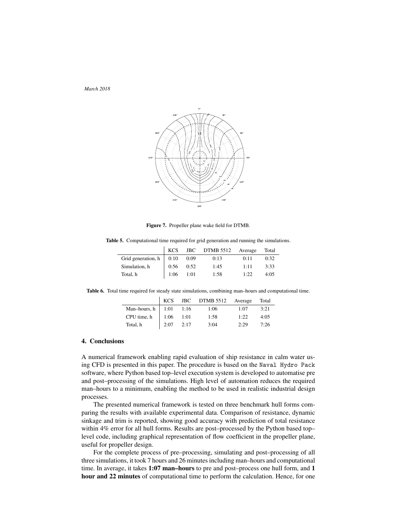

Figure 7. Propeller plane wake field for DTMB.

Table 5. Computational time required for grid generation and running the simulations.

|                                |                   |      | KCS JBC DTMB 5512 Average |      | Total |
|--------------------------------|-------------------|------|---------------------------|------|-------|
| Grid generation, $h \mid 0:10$ |                   | 0:09 | 0:13                      | 0:11 | 0:32  |
| Simulation, h                  | 0:56              | 0:52 | 1:45                      | 1:11 | 3:33  |
| Total, h                       | $\vert$ 1:06 1:01 |      | 1:58                      | 1:22 | 4:0.5 |

Table 6. Total time required for steady state simulations, combining man–hours and computational time.

|                            |      |      | KCS JBC DTMB 5512 Average Total |      |      |
|----------------------------|------|------|---------------------------------|------|------|
| Man-hours, $h$   1:01 1:16 |      |      | 1:06                            | 1:07 | 3:21 |
| CPU time, $h$   1:06 1:01  |      |      | 1:58                            | 1:22 | 4:05 |
| Total, h                   | 2:07 | 2:17 | 3:04                            | 2:29 | 7:26 |

# 4. Conclusions

A numerical framework enabling rapid evaluation of ship resistance in calm water using CFD is presented in this paper. The procedure is based on the Naval Hydro Pack software, where Python based top–level execution system is developed to automatise pre and post–processing of the simulations. High level of automation reduces the required man–hours to a minimum, enabling the method to be used in realistic industrial design processes.

The presented numerical framework is tested on three benchmark hull forms comparing the results with available experimental data. Comparison of resistance, dynamic sinkage and trim is reported, showing good accuracy with prediction of total resistance within 4% error for all hull forms. Results are post–processed by the Python based top– level code, including graphical representation of flow coefficient in the propeller plane, useful for propeller design.

For the complete process of pre–processing, simulating and post–processing of all three simulations, it took 7 hours and 26 minutes including man–hours and computational time. In average, it takes 1:07 man-hours to pre and post-process one hull form, and 1 hour and 22 minutes of computational time to perform the calculation. Hence, for one